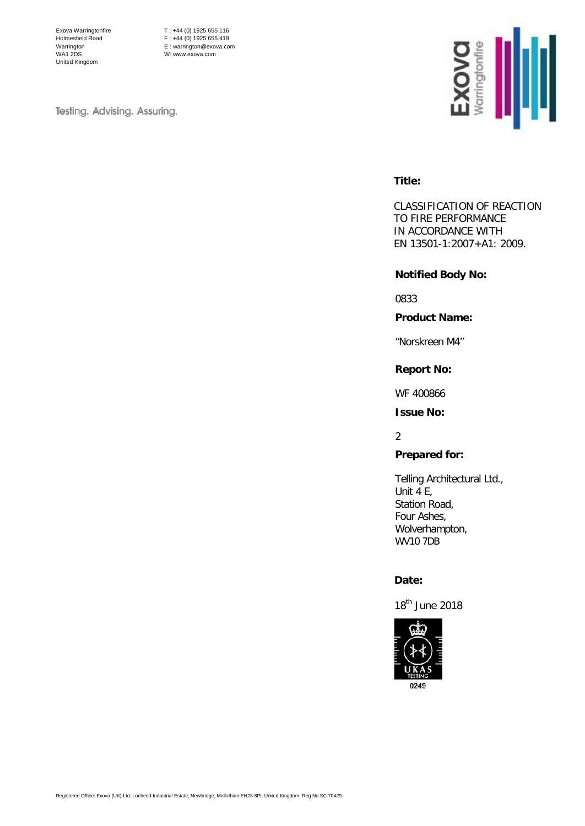Exova Warringtonfire Holmesfield Road Warrington WA1 2DS United Kingdom

T : +44 (0) 1925 655 116  $F : +44 (0) 1925 655 419$ E : warrington@exova.com W: www.exova.com

Testing. Advising. Assuring.



### **Title:**

CLASSIFICATION OF REACTION TO FIRE PERFORMANCE IN ACCORDANCE WITH EN 13501-1:2007+A1: 2009.

### **Notified Body No:**

0833

**Product Name:**

"Norskreen M4"

# **Report No:**

WF 400866

**Issue No:**

 $\mathfrak{2}$ 

### **Prepared for:**

Telling Architectural Ltd., Unit 4 E, Station Road, Four Ashes, Wolverhampton, WV10 7DB

### **Date:**

18<sup>th</sup> June 2018

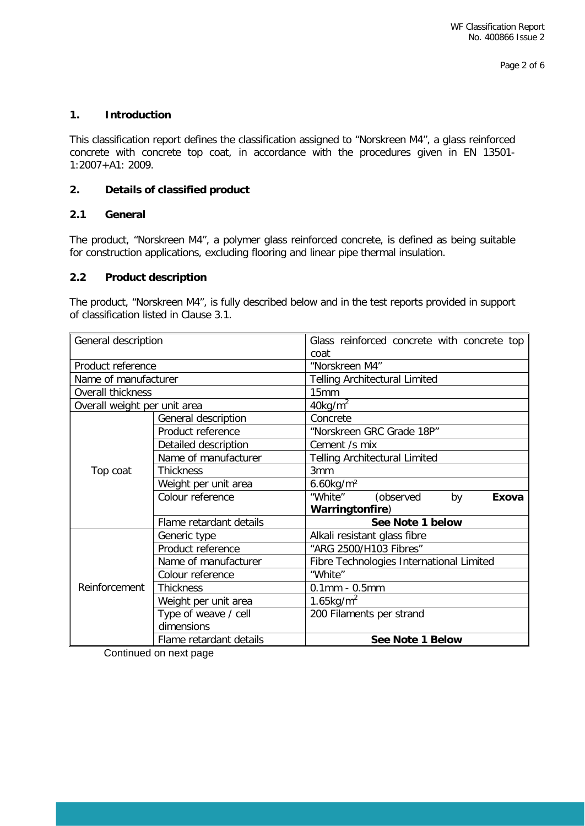# **1. Introduction**

This classification report defines the classification assigned to "Norskreen M4", a glass reinforced concrete with concrete top coat, in accordance with the procedures given in EN 13501- 1:2007+A1: 2009.

# **2. Details of classified product**

# **2.1 General**

The product, "Norskreen M4", a polymer glass reinforced concrete, is defined as being suitable for construction applications, excluding flooring and linear pipe thermal insulation.

# **2.2 Product description**

The product, "Norskreen M4", is fully described below and in the test reports provided in support of classification listed in Clause 3.1.

| General description          |                         | Glass reinforced concrete with concrete top |  |  |  |
|------------------------------|-------------------------|---------------------------------------------|--|--|--|
|                              |                         | coat                                        |  |  |  |
| Product reference            |                         | "Norskreen M4"                              |  |  |  |
| Name of manufacturer         |                         | <b>Telling Architectural Limited</b>        |  |  |  |
| Overall thickness            |                         | 15mm                                        |  |  |  |
| Overall weight per unit area |                         | $40$ kg/m <sup>2</sup>                      |  |  |  |
|                              | General description     | Concrete                                    |  |  |  |
| Top coat                     | Product reference       | "Norskreen GRC Grade 18P"                   |  |  |  |
|                              | Detailed description    | Cement /s mix                               |  |  |  |
|                              | Name of manufacturer    | <b>Telling Architectural Limited</b>        |  |  |  |
|                              | <b>Thickness</b>        | 3mm                                         |  |  |  |
|                              | Weight per unit area    | $6.60$ kg/m <sup>2</sup>                    |  |  |  |
|                              | Colour reference        | "White"<br>(observed<br>by<br>Exova         |  |  |  |
|                              |                         | Warringtonfire)                             |  |  |  |
|                              | Flame retardant details | See Note 1 below                            |  |  |  |
|                              | Generic type            | Alkali resistant glass fibre                |  |  |  |
|                              | Product reference       | "ARG 2500/H103 Fibres"                      |  |  |  |
| Reinforcement                | Name of manufacturer    | Fibre Technologies International Limited    |  |  |  |
|                              | Colour reference        | "White"                                     |  |  |  |
|                              | <b>Thickness</b>        | $0.1$ mm - $0.5$ mm                         |  |  |  |
|                              | Weight per unit area    | $1.65$ kg/m <sup>2</sup>                    |  |  |  |
|                              | Type of weave / cell    | 200 Filaments per strand                    |  |  |  |
|                              | dimensions              |                                             |  |  |  |
|                              | Flame retardant details | See Note 1 Below                            |  |  |  |

Continued on next page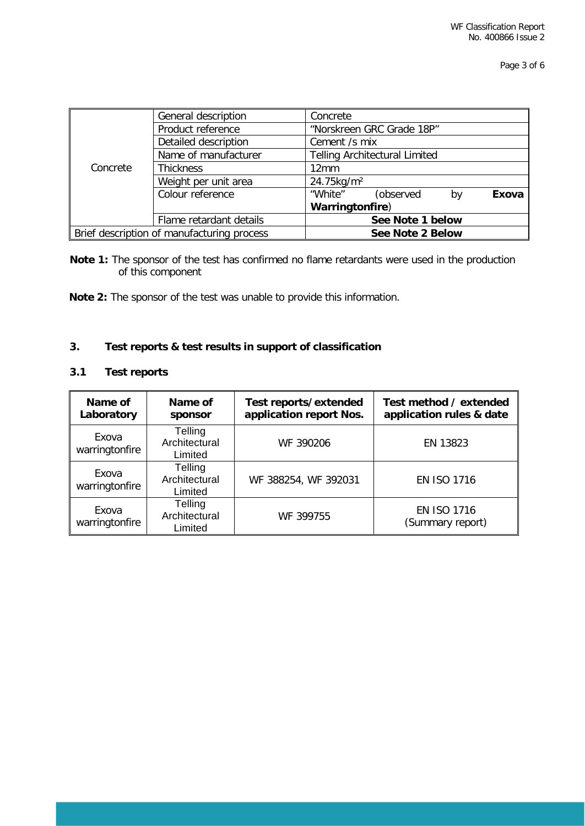|                                            | General description<br>Concrete |                                      |  |  |  |  |
|--------------------------------------------|---------------------------------|--------------------------------------|--|--|--|--|
|                                            | Product reference               | "Norskreen GRC Grade 18P"            |  |  |  |  |
|                                            | Detailed description            | Cement /s mix                        |  |  |  |  |
|                                            | Name of manufacturer            | <b>Telling Architectural Limited</b> |  |  |  |  |
| Concrete                                   | <b>Thickness</b>                | 12 <sub>mm</sub>                     |  |  |  |  |
|                                            | Weight per unit area            | 24.75kg/m <sup>2</sup>               |  |  |  |  |
|                                            | Colour reference                | "White"<br>(observed<br>Exova<br>bv  |  |  |  |  |
|                                            |                                 | Warringtonfire)                      |  |  |  |  |
|                                            | Flame retardant details         | See Note 1 below                     |  |  |  |  |
| Brief description of manufacturing process |                                 | See Note 2 Below                     |  |  |  |  |

**Note 1:** The sponsor of the test has confirmed no flame retardants were used in the production of this component

**Note 2:** The sponsor of the test was unable to provide this information.

# **3. Test reports & test results in support of classification**

# **3.1 Test reports**

| Name of<br>Laboratory   | Name of<br>sponsor                  | Test reports/extended<br>application report Nos. | Test method / extended<br>application rules & date |
|-------------------------|-------------------------------------|--------------------------------------------------|----------------------------------------------------|
| Exova<br>warringtonfire | Telling<br>Architectural<br>Limited | WF 390206                                        | EN 13823                                           |
| Exova<br>warringtonfire | Telling<br>Architectural<br>Limited | WF 388254, WF 392031                             | <b>EN ISO 1716</b>                                 |
| Exova<br>warringtonfire | Telling<br>Architectural<br>Limited | WF 399755                                        | <b>EN ISO 1716</b><br>(Summary report)             |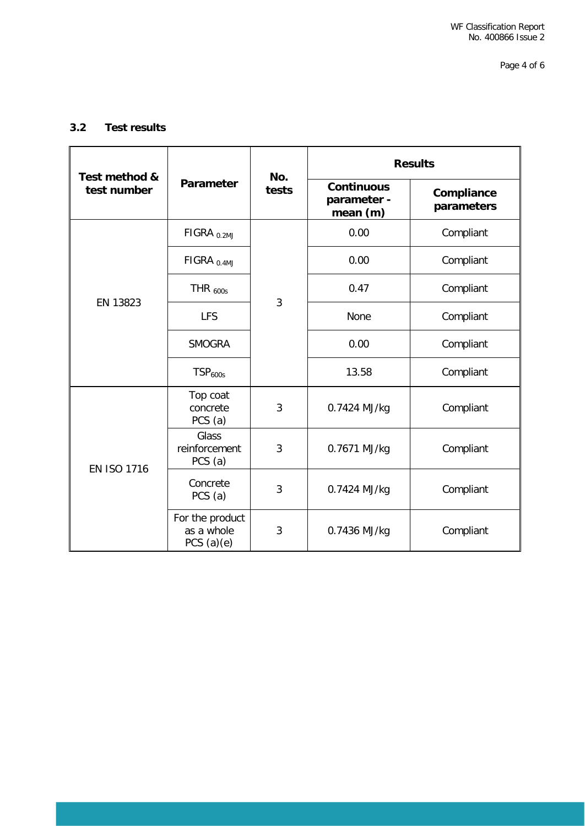# **3.2 Test results**

| Test method &      |                                               | No.            | <b>Results</b>                               |                          |  |
|--------------------|-----------------------------------------------|----------------|----------------------------------------------|--------------------------|--|
| test number        | <b>Parameter</b>                              | tests          | <b>Continuous</b><br>parameter -<br>mean (m) | Compliance<br>parameters |  |
| EN 13823           | FIGRA <sub>0.2MJ</sub>                        |                | 0.00                                         | Compliant                |  |
|                    | $FIGRA_{0.4MJ}$                               |                | 0.00                                         | Compliant                |  |
|                    | THR $_{600s}$                                 | $\overline{3}$ | 0.47                                         | Compliant                |  |
|                    | <b>LFS</b>                                    |                | None                                         | Compliant                |  |
|                    | <b>SMOGRA</b>                                 |                | 0.00                                         | Compliant                |  |
|                    | TSP <sub>600s</sub>                           |                | 13.58                                        | Compliant                |  |
| <b>EN ISO 1716</b> | Top coat<br>concrete<br>PCS(a)                | 3              | 0.7424 MJ/kg                                 | Compliant                |  |
|                    | <b>Glass</b><br>reinforcement<br>PCS (a)      | 3              | 0.7671 MJ/kg                                 | Compliant                |  |
|                    | Concrete<br>PCS(a)                            | 3              | 0.7424 MJ/kg                                 | Compliant                |  |
|                    | For the product<br>as a whole<br>PCS $(a)(e)$ | 3              | 0.7436 MJ/kg                                 | Compliant                |  |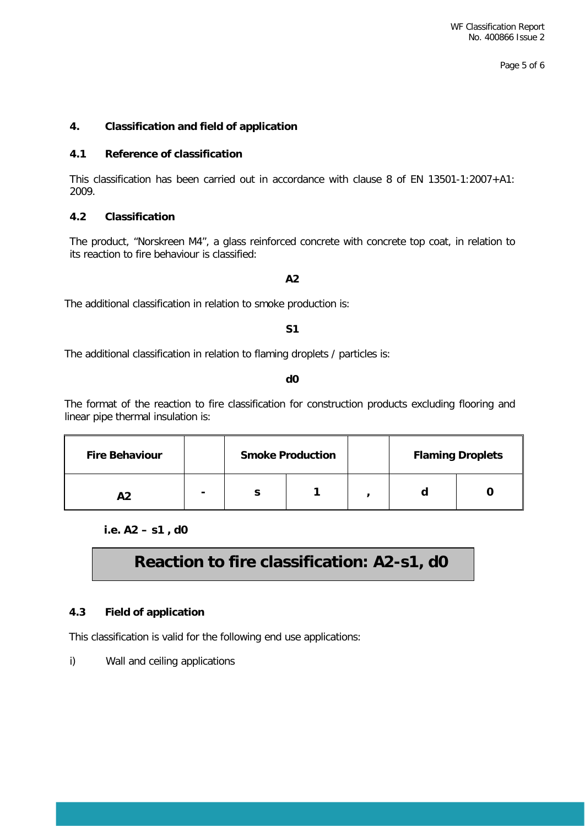Page 5 of 6

# **4. Classification and field of application**

### **4.1 Reference of classification**

This classification has been carried out in accordance with clause 8 of EN 13501-1:2007+A1: 2009.

### **4.2 Classification**

The product, "Norskreen M4", a glass reinforced concrete with concrete top coat, in relation to its reaction to fire behaviour is classified:

# **A2**

The additional classification in relation to smoke production is:

# **S1**

The additional classification in relation to flaming droplets / particles is:

#### **d0**

The format of the reaction to fire classification for construction products excluding flooring and linear pipe thermal insulation is:

| <b>Fire Behaviour</b> |   | <b>Smoke Production</b> |  | <b>Flaming Droplets</b> |  |
|-----------------------|---|-------------------------|--|-------------------------|--|
| ΔЭ                    | - |                         |  |                         |  |

**i.e. A2 – s1 , d0**

# **Reaction to fire classification: A2-s1, d0**

### **4.3 Field of application**

This classification is valid for the following end use applications:

i) Wall and ceiling applications